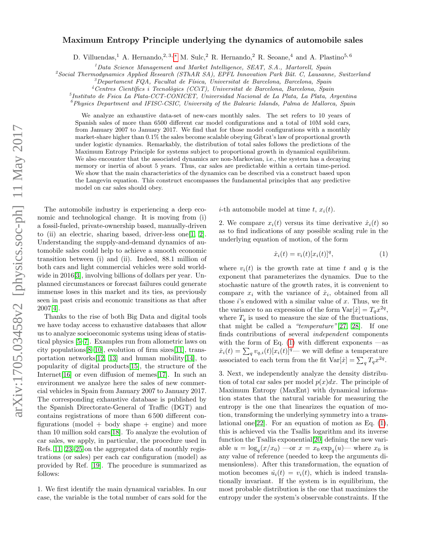## arXiv:1705.03458v2 [physics.soc-ph] 11 May 2017 arXiv:1705.03458v2 [physics.soc-ph] 11 May 2017

## Maximum Entropy Principle underlying the dynamics of automobile sales

D. Villuendas,<sup>1</sup> A. Hernando,<sup>2, 3,\*</sup> M. Sulc,<sup>2</sup> R. Hernando,<sup>2</sup> R. Seoane,<sup>4</sup> and A. Plastino<sup>5, 6</sup>

 ${}^{1}$ Data Science Management and Market Intelligence, SEAT, S.A., Martorell, Spain

 ${}^{2}$ Social Thermodynamics Applied Research (SThAR SA), EPFL Innovation Park Bât. C, Lausanne, Switzerland

 $3$ Departament FQA, Facultat de Física, Universitat de Barcelona, Barcelona, Spain

 $4$ Centres Científics i Tecnològics (CCiT), Universitat de Barcelona, Barcelona, Spain

5 Instituto de Fsica La Plata-CCT-CONICET, Universidad Nacional de La Plata, La Plata, Argentina

 $^6$ Physics Department and IFISC-CSIC, University of the Balearic Islands, Palma de Mallorca, Spain

We analyze an exhaustive data-set of new-cars monthly sales. The set refers to 10 years of Spanish sales of more than 6500 different car model configurations and a total of 10M sold cars, from January 2007 to January 2017. We find that for those model configurations with a monthly market-share higher than 0.1% the sales become scalable obeying Gibrat's law of proportional growth under logistic dynamics. Remarkably, the distribution of total sales follows the predictions of the Maximum Entropy Principle for systems subject to proportional growth in dynamical equilibrium. We also encounter that the associated dynamics are non-Markovian, i.e., the system has a decaying memory or inertia of about 5 years. Thus, car sales are predictable within a certain time-period. We show that the main characteristics of the dynamics can be described via a construct based upon the Langevin equation. This construct encompasses the fundamental principles that any predictive model on car sales should obey.

The automobile industry is experiencing a deep economic and technological change. It is moving from (i) a fossil-fueled, private-ownership based, manually-driven to (ii) an electric, sharing based, driver-less one  $[1, 2]$  $[1, 2]$ . Understanding the supply-and-demand dynamics of automobile sales could help to achieve a smooth economic transition between (i) and (ii). Indeed, 88.1 million of both cars and light commercial vehicles were sold world-wide in 2016[\[3\]](#page-4-3), involving billions of dollars per year. Unplanned circumstances or forecast failures could generate immense loses in this market and its ties, as previously seen in past crisis and economic transitions as that after 2007[\[4\]](#page-4-4).

Thanks to the rise of both Big Data and digital tools we have today access to exhaustive databases that allow us to analyze socioeconomic systems using ideas of statistical physics [\[5–](#page-4-5)[7\]](#page-4-6). Examples run from allometric laws on city populations[\[8–](#page-4-7)[10\]](#page-4-8), evolution of firm sizes[\[11\]](#page-4-9), transportation networks $[12, 13]$  $[12, 13]$  and human mobility $[14]$ , to popularity of digital products[\[15\]](#page-4-13), the structure of the Internet[\[16\]](#page-4-14) or even diffusion of memes[\[17\]](#page-4-15). In such an environment we analyze here the sales of new commercial vehicles in Spain from January 2007 to January 2017. The corresponding exhaustive database is published by the Spanish Directorate-General of Traffic (DGT) and contains registrations of more than 6 500 different configurations (model  $+$  body shape  $+$  engine) and more than 10 million sold cars[\[18\]](#page-4-16). To analyze the evolution of car sales, we apply, in particular, the procedure used in Refs. [11,](#page-4-9) [23](#page-4-17)[–25](#page-4-18) on the aggregated data of monthly registrations (or sales) per each car configuration (model) as provided by Ref. [\[19\]](#page-4-19). The procedure is summarized as follows:

1. We first identify the main dynamical variables. In our case, the variable is the total number of cars sold for the *i*-th automobile model at time t,  $x_i(t)$ .

2. We compare  $x_i(t)$  versus its time derivative  $\dot{x}_i(t)$  so as to find indications of any possible scaling rule in the underlying equation of motion, of the form

<span id="page-0-0"></span>
$$
\dot{x}_i(t) = v_i(t)[x_i(t)]^q,\tag{1}
$$

where  $v_i(t)$  is the growth rate at time t and q is the exponent that parameterizes the dynamics. Due to the stochastic nature of the growth rates, it is convenient to compare  $x_i$  with the variance of  $\dot{x}_i$ , obtained from all those  $i$ 's endowed with a similar value of  $x$ . Thus, we fit the variance to an expression of the form  $\text{Var}[x] = T_q x^{2q}$ , where  $T_q$  is used to measure the size of the fluctuations, that might be called a "temperature" $[27, 28]$  $[27, 28]$ . If one finds contributions of several independent components with the form of Eq.  $(1)$  with different exponents —as  $\dot{x}_i(t) = \sum_q v_{q,i}(t) [x_i(t)]^q$ — we will define a temperature associated to each term from the fit  $\text{Var}[{\dot{x}}] = \sum_{q} T_q x^{2q}$ .

<span id="page-0-1"></span>3. Next, we independently analyze the density distribution of total car sales per model  $p(x)dx$ . The principle of Maximum Entropy (MaxEnt) with dynamical information states that the natural variable for measuring the entropy is the one that linearizes the equation of motion, transforming the underlying symmetry into a translational one[\[22\]](#page-4-20). For an equation of motion as Eq. [\(1\)](#page-0-0), this is achieved via the Tsallis logarithm and its inverse function the Tsallis exponential[\[20\]](#page-4-21) defining the new variable  $u = \log_q(x/x_0)$  —or  $x = x_0 \exp_q(u)$ — where  $x_0$  is any value of reference (needed to keep the arguments dimensionless). After this transformation, the equation of motion becomes  $\dot{u}_i(t) = v_i(t)$ , which is indeed translationally invariant. If the system is in equilibrium, the most probable distribution is the one that maximizes the entropy under the system's observable constraints. If the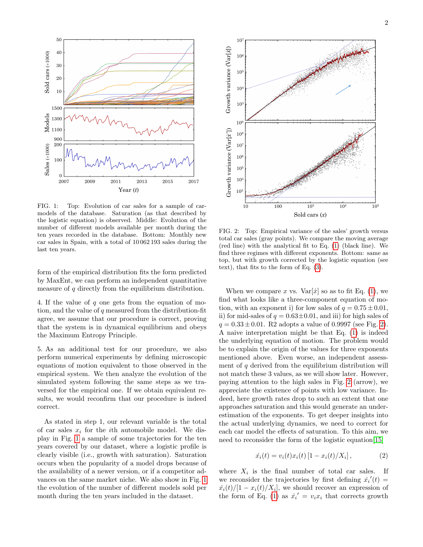

<span id="page-1-0"></span>FIG. 1: Top: Evolution of car sales for a sample of carmodels of the database. Saturation (as that described by the logistic equation) is observed. Middle: Evolution of the number of different models available per month during the ten years recorded in the database. Bottom: Monthly new car sales in Spain, with a total of 10 062 193 sales during the last ten years.

form of the empirical distribution fits the form predicted by MaxEnt, we can perform an independent quantitative measure of  $q$  directly from the equilibrium distribution.

4. If the value of q one gets from the equation of motion, and the value of  $q$  measured from the distribution-fit agree, we assume that our procedure is correct, proving that the system is in dynamical equilibrium and obeys the Maximum Entropy Principle.

<span id="page-1-2"></span>5. As an additional test for our procedure, we also perform numerical experiments by defining microscopic equations of motion equivalent to those observed in the empirical system. We then analyze the evolution of the simulated system following the same steps as we traversed for the empirical one. If we obtain equivalent results, we would reconfirm that our procedure is indeed correct.

As stated in step 1, our relevant variable is the total of car sales  $x_i$  for the *i*th automobile model. We display in Fig. [1](#page-1-0) a sample of some trajectories for the ten years covered by our dataset, where a logistic profile is clearly visible (i.e., growth with saturation). Saturation occurs when the popularity of a model drops because of the availability of a newer version, or if a competitor advances on the same market niche. We also show in Fig. [1](#page-1-0) the evolution of the number of different models sold per month during the ten years included in the dataset.



<span id="page-1-1"></span>FIG. 2: Top: Empirical variance of the sales' growth versus total car sales (gray points). We compare the moving average (red line) with the analytical fit to Eq. [\(1\)](#page-0-0) (black line). We find three regimes with different exponents. Bottom: same as top, but with growth corrected by the logistic equation (see text), that fits to the form of Eq. [\(3\)](#page-2-0).

When we compare x vs.  $Var[\dot{x}]$  so as to fit Eq. [\(1\)](#page-0-0), we find what looks like a three-component equation of motion, with an exponent i) for low sales of  $q = 0.75 \pm 0.01$ , ii) for mid-sales of  $q = 0.63 \pm 0.01$ , and iii) for high sales of  $q = 0.33 \pm 0.01$ . R2 adopts a value of 0.9997 (see Fig. [2\)](#page-1-1). A naive interpretation might be that Eq. [\(1\)](#page-0-0) is indeed the underlying equation of motion. The problem would be to explain the origin of the values for three exponents mentioned above. Even worse, an independent assessment of  $q$  derived from the equilibrium distribution will not match these 3 values, as we will show later. However, paying attention to the high sales in Fig. [2](#page-1-1) (arrow), we appreciate the existence of points with low variance. Indeed, here growth rates drop to such an extent that one approaches saturation and this would generate an underestimation of the exponents. To get deeper insights into the actual underlying dynamics, we need to correct for each car model the effects of saturation. To this aim, we need to reconsider the form of the logistic equation[\[15\]](#page-4-13)

$$
\dot{x}_i(t) = v_i(t)x_i(t) [1 - x_i(t)/X_i], \qquad (2)
$$

where  $X_i$  is the final number of total car sales. If we reconsider the trajectories by first defining  $\dot{x_i}'(t) =$  $\dot{x_i}(t)/[1-x_i(t)/X_i]$ , we should recover an expression of the form of Eq. [\(1\)](#page-0-0) as  $\dot{x}_i' = v_i x_i$  that corrects growth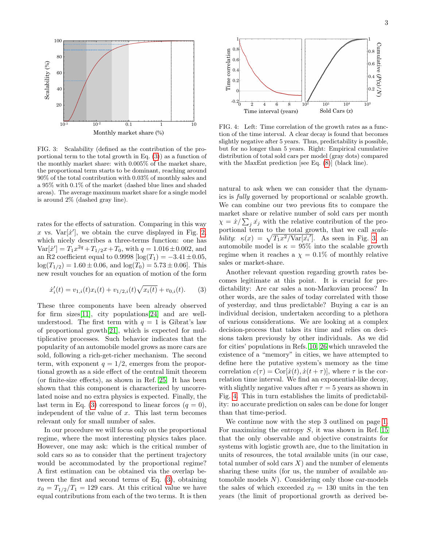

<span id="page-2-1"></span>FIG. 3: Scalability (defined as the contribution of the proportional term to the total growth in Eq. [\(3\)](#page-2-0)) as a function of the monthly market share: with 0.005% of the market share, the proportional term starts to be dominant, reaching around 90% of the total contribution with 0.03% of monthly sales and a 95% with 0.1% of the market (dashed blue lines and shaded areas). The average maximum market share for a single model is around 2% (dashed gray line).

rates for the effects of saturation. Comparing in this way x vs.  $Var[\dot{x}']$ , we obtain the curve displayed in Fig. [2,](#page-1-1) which nicely describes a three-terms function: one has  $\text{Var}[\dot{x}'] = T_1 x^{2q} + T_{1/2} x + T_0$ , with  $q = 1.016 \pm 0.002$ , and an R2 coefficient equal to 0.9998  $\left[ \log(T_1) = -3.41 \pm 0.05 \right]$ ,  $\log(T_{1/2}) = 1.60 \pm 0.06$ , and  $\log(T_0) = 5.73 \pm 0.06$ . This new result vouches for an equation of motion of the form

<span id="page-2-0"></span>
$$
\dot{x}'_i(t) = v_{1,i}(t)x_i(t) + v_{1/2,i}(t)\sqrt{x_i(t)} + v_{0,i}(t). \tag{3}
$$

These three components have been already observed for firm sizes[\[11\]](#page-4-9), city populations[\[24\]](#page-4-22) and are wellunderstood. The first term with  $q = 1$  is Gibrat's law of proportional growth[\[21\]](#page-4-23), which is expected for multiplicative processes. Such behavior indicates that the popularity of an automobile model grows as more cars are sold, following a rich-get-richer mechanism. The second term, with exponent  $q = 1/2$ , emerges from the proportional growth as a side effect of the central limit theorem (or finite-size effects), as shown in Ref. [25.](#page-4-18) It has been shown that this component is characterized by uncorrelated noise and no extra physics is expected. Finally, the last term in Eq. [\(3\)](#page-2-0) correspond to linear forces  $(q = 0)$ , independent of the value of  $x$ . This last term becomes relevant only for small number of sales. **Example 12**<br>  $\frac{1}{2}$  and  $\frac{1}{2}$  and  $\frac{1}{2}$  and  $\frac{1}{2}$  and  $\frac{1}{2}$  and  $\frac{1}{2}$  and  $\frac{1}{2}$  and  $\frac{1}{2}$  and  $\frac{1}{2}$  and  $\frac{1}{2}$  and  $\frac{1}{2}$  and  $\frac{1}{2}$  and  $\frac{1}{2}$  and  $\frac{1}{2}$  and  $\frac{1}{2}$  a

In our procedure we will focus only on the proportional regime, where the most interesting physics takes place. However, one may ask: which is the critical number of sold cars so as to consider that the pertinent trajectory would be accommodated by the proportional regime? A first estimation can be obtained via the overlap between the first and second terms of Eq. [\(3\)](#page-2-0), obtaining  $x_0 = T_{1/2}/T_1 = 129$  cars. At this critical value we have



<span id="page-2-2"></span>FIG. 4: Left: Time correlation of the growth rates as a function of the time interval. A clear decay is found that becomes slightly negative after 5 years. Thus, predictability is possible, but for no longer than 5 years. Right: Empirical cumulative distribution of total sold cars per model (gray dots) compared with the MaxEnt prediction [see Eq. [\(8\)](#page-3-0)] (black line).

natural to ask when we can consider that the dynamics is fully governed by proportional or scalable growth. We can combine our two previous fits to compare the market share or relative number of sold cars per month  $\chi = \dot{x}/\sum_j \dot{x}_j$  with the relative contribution of the proportional term to the total growth, that we call scalability:  $\kappa(x) = \sqrt{T_1 x^2 / \text{Var}[\dot{x_i}']}.$  As seen in Fig. [3,](#page-2-1) an automobile model is  $\kappa = 95\%$  into the scalable growth regime when it reaches a  $\chi = 0.1\%$  of monthly relative sales or market-share.

Another relevant question regarding growth rates becomes legitimate at this point. It is crucial for predictability: Are car sales a non-Markovian process? In other words, are the sales of today correlated with those of yesterday, and thus predictable? Buying a car is an individual decision, undertaken according to a plethora of various considerations. We are looking at a complex decision-process that takes its time and relies on decisions taken previously by other individuals. As we did for cities' populations in Refs. [10,](#page-4-8) [26](#page-4-24) which unraveled the existence of a "memory" in cities, we have attempted to define here the putative system's memory as the time correlation  $c(\tau) = \text{Cor}[\dot{x}(t), \dot{x}(t + \tau)],$  where  $\tau$  is the correlation time interval. We find an exponential-like decay, with slightly negative values after  $\tau = 5$  years as shown in Fig. [4.](#page-2-2) This in turn establishes the limits of predictability: no accurate prediction on sales can be done for longer than that time-period.

We continue now with the step 3 outlined on page [1.](#page-0-1) For maximizing the entropy  $S$ , it was shown in Ref. [15](#page-4-13) that the only observable and objective constraints for systems with logistic growth are, due to the limitation in units of resources, the total available units (in our case, total number of sold cars  $X$ ) and the number of elements sharing these units (for us, the number of available automobile models  $N$ ). Considering only those car-models the sales of which exceeded  $x_0 = 130$  units in the ten years (the limit of proportional growth as derived be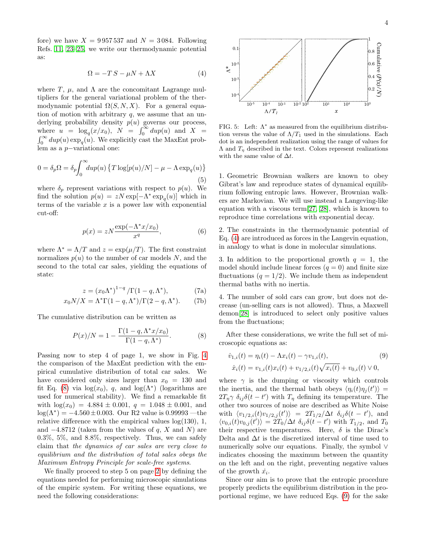fore) we have  $X = 9957537$  and  $N = 3084$ . Following Refs. [11,](#page-4-9) [23](#page-4-17)[–25,](#page-4-18) we write our thermodynamic potential as:

<span id="page-3-1"></span>
$$
\Omega = -TS - \mu N + \Lambda X \tag{4}
$$

where T,  $\mu$ , and  $\Lambda$  are the concomitant Lagrange multipliers for the general variational problem of the thermodynamic potential  $\Omega(S, N, X)$ . For a general equation of motion with arbitrary  $q$ , we assume that an underlying probability density  $p(u)$  governs our process, where  $u = \log_q(x/x_0)$ ,  $N = \int_0^\infty du p(u)$  and  $X =$  $\int_0^\infty du p(u) \exp_q(u)$ . We explicitly cast the MaxEnt problem as a p−variational one:

0 = δpΩ = δ<sup>p</sup> Z <sup>∞</sup> 0 dup(u) T log[p(u)/N] − µ − Λ exp<sup>q</sup> (u) (5)

where  $\delta_p$  represent variations with respect to  $p(u)$ . We find the solution  $p(u) = zN \exp[-\Lambda^* \exp_q(u)]$  which in terms of the variable  $x$  is a power law with exponential cut-off:

$$
p(x) = zN \frac{\exp(-\Lambda^* x/x_0)}{x^q},\tag{6}
$$

where  $\Lambda^* = \Lambda/T$  and  $z = \exp(\mu/T)$ . The first constraint normalizes  $p(u)$  to the number of car models N, and the second to the total car sales, yielding the equations of state:

$$
z = \left(x_0 \Lambda^*\right)^{1-q} / \Gamma(1-q, \Lambda^*),\tag{7a}
$$

$$
x_0 N/X = \Lambda^* \Gamma(1-q, \Lambda^*) / \Gamma(2-q, \Lambda^*). \tag{7b}
$$

The cumulative distribution can be written as

<span id="page-3-0"></span>
$$
P(x)/N = 1 - \frac{\Gamma(1-q, \Lambda^* x/x_0)}{\Gamma(1-q, \Lambda^*)}.
$$
 (8)

Passing now to step 4 of page 1, we show in Fig. [4](#page-2-2) the comparison of the MaxEnt prediction with the empirical cumulative distribution of total car sales. We have considered only sizes larger than  $x_0 = 130$  and fit Eq. [\(8\)](#page-3-0) via  $\log(x_0)$ , q, and  $\log(\Lambda^*)$  (logarithms are used for numerical stability). We find a remarkable fit with  $\log(x_0) = 4.884 \pm 0.001$ ,  $q = 1.048 \pm 0.001$ , and  $log(\Lambda^*) = -4.560 \pm 0.003$ . Our R2 value is 0.99993 —the relative difference with the empirical values  $log(130)$ , 1, and  $-4.8712$  (taken from the values of q, X and N) are 0.3%, 5%, and 8.8%, respectively. Thus, we can safely claim that the dynamics of car sales are very close to equilibrium and the distribution of total sales obeys the Maximum Entropy Principle for scale-free systems.

We finally proceed to step 5 on page [2](#page-1-2) by defining the equations needed for performing microscopic simulations of the empiric system. For writing these equations, we need the following considerations:



<span id="page-3-3"></span>FIG. 5: Left:  $\Lambda^*$  as measured from the equilibrium distribution versus the value of  $\Lambda/T_1$  used in the simulations. Each dot is an independent realization using the range of values for  $\Lambda$  and  $T_n$  described in the text. Colors represent realizations with the same value of  $\Delta t$ .

1. Geometric Brownian walkers are known to obey Gibrat's law and reproduce states of dynamical equilibrium following entropic laws. However, Brownian walkers are Markovian. We will use instead a Langeving-like equation with a viscous term[\[27,](#page-5-0) [28\]](#page-5-1), which is known to reproduce time correlations with exponential decay.

2. The constraints in the thermodynamic potential of Eq. [\(4\)](#page-3-1) are introduced as forces in the Langevin equation, in analogy to what is done in molecular simulations.

3. In addition to the proportional growth  $q = 1$ , the model should include linear forces  $(q = 0)$  and finite size fluctuations  $(q = 1/2)$ . We include them as independent thermal baths with no inertia.

4. The number of sold cars can grow, but does not decrease (un-selling cars is not allowed). Thus, a Maxwell demon[\[28\]](#page-5-1) is introduced to select only positive values from the fluctuations;

After these considerations, we write the full set of microscopic equations as:

<span id="page-3-2"></span>
$$
\dot{v}_{1,i}(t) = \eta_i(t) - \Lambda x_i(t) - \gamma v_{1,i}(t),
$$
\n
$$
\dot{x}_i(t) = v_{1,i}(t)x_i(t) + v_{1/2,i}(t)\sqrt{x_i(t)} + v_{0,i}(t) \vee 0,
$$
\n(9)

where  $\gamma$  is the dumping or viscosity which controls the inertia, and the thermal bath obeys  $\langle \eta_i(t) \eta_j(t') \rangle =$  $2T_{\eta}\gamma \delta_{ij}\delta(t-t')$  with  $T_{\eta}$  defining its temperature. The other two sources of noise are described as White Noise with  $\langle v_{1/2,i}(t)v_{1/2,j}(t') \rangle = 2T_{1/2}/\Delta t \, \delta_{ij} \delta(t - t')$ , and  $\langle v_{0,i}(t)v_{0,j}(t')\rangle = 2T_0/\Delta t \, \delta_{ij}\delta(t-t')$  with  $T_{1/2}$ , and  $T_0$ their respective temperatures. Here,  $\delta$  is the Dirac's Delta and  $\Delta t$  is the discretized interval of time used to numerically solve our equations. Finally, the symbol ∨ indicates choosing the maximum between the quantity on the left and on the right, preventing negative values of the growth  $\dot{x_i}$ .

Since our aim is to prove that the entropic procedure properly predicts the equilibrium distribution in the proportional regime, we have reduced Eqs. [\(9\)](#page-3-2) for the sake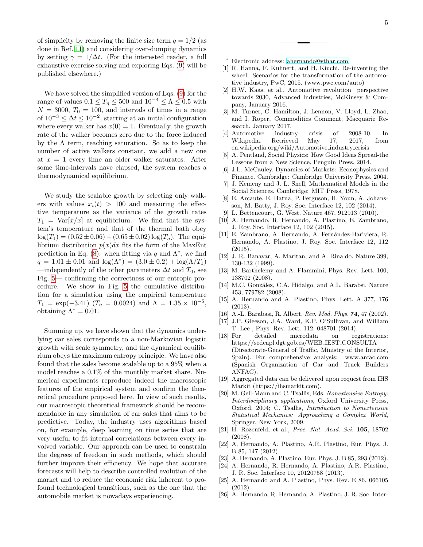of simplicity by removing the finite size term  $q = 1/2$  (as done in Ref. [11\)](#page-4-9) and considering over-dumping dynamics by setting  $\gamma = 1/\Delta t$ . (For the interested reader, a full exhaustive exercise solving and exploring Eqs. [\(9\)](#page-3-2) will be published elsewhere.)

We have solved the simplified version of Eqs. [\(9\)](#page-3-2) for the range of values  $0.1 \leq T_\eta \leq 500$  and  $10^{-4} \leq \Lambda \leq 0.5$  with  $N = 3000, T_0 = 100,$  and intervals of times in a range of  $10^{-3}$  ≤  $\Delta t$  ≤  $10^{-2}$ , starting at an initial configuration where every walker has  $x(0) = 1$ . Eventually, the growth rate of the walker becomes zero due to the force induced by the  $\Lambda$  term, reaching saturation. So as to keep the number of active walkers constant, we add a new one at  $x = 1$  every time an older walker saturates. After some time-intervals have elapsed, the system reaches a thermodynamical equilibrium.

We study the scalable growth by selecting only walkers with values  $x_i(t) > 100$  and measuring the effective temperature as the variance of the growth rates  $T_1 = \text{Var}[{\dot{x}}/x]$  at equilibrium. We find that the system's temperature and that of the thermal bath obey  $\log(T_1) = (0.52 \pm 0.06) + (0.65 \pm 0.02) \log(T_\eta)$ . The equilibrium distribution  $p(x)dx$  fits the form of the MaxEnt prediction in Eq. [\(8\)](#page-3-0): when fitting via q and  $\Lambda^*$ , we find  $q = 1.01 \pm 0.01$  and  $\log(\Lambda^*) = (3.0 \pm 0.2) + \log(\Lambda/T_1)$ —independently of the other parameters  $\Delta t$  and  $T_0$ , see Fig. [5—](#page-3-3) confirming the correctness of our entropic procedure. We show in Fig. [5](#page-3-3) the cumulative distribution for a simulation using the empirical temperature  $T_1 = \exp(-3.41)$  ( $T_\eta = 0.0024$ ) and  $\Lambda = 1.35 \times 10^{-5}$ , obtaining  $\Lambda^* = 0.01$ .

Summing up, we have shown that the dynamics underlying car sales corresponds to a non-Markovian logistic growth with scale symmetry, and the dynamical equilibrium obeys the maximum entropy principle. We have also found that the sales become scalable up to a 95% when a model reaches a 0.1% of the monthly market share. Numerical experiments reproduce indeed the macroscopic features of the empirical system and confirm the theoretical procedure proposed here. In view of such results, our macroscopic theoretical framework should be recommendable in any simulation of car sales that aims to be predictive. Today, the industry uses algorithms based on, for example, deep learning on time series that are very useful to fit internal correlations between every involved variable. Our approach can be used to constrain the degrees of freedom in such methods, which should further improve their efficiency. We hope that accurate forecasts will help to describe controlled evolution of the market and to reduce the economic risk inherent to profound technological transitions, such as the one that the automobile market is nowadays experiencing.

- <span id="page-4-0"></span><sup>∗</sup> Electronic address: [ahernando@sthar.com](mailto:ahernando@sthar.com)
- <span id="page-4-1"></span>[1] R. Hanna, F. Kuhnert, and H. Kiuchi, Re-inventing the wheel: Scenarios for the transformation of the automotive industry, PwC, 2015. (www.pwc.com/auto)
- <span id="page-4-2"></span>[2] H.W. Kaas, et al., Automotive revolution perspective towards 2030, Advanced Industries, McKinsey & Company, January 2016.
- <span id="page-4-3"></span>[3] M. Turner, C. Hamilton, J. Lennon, V. Lloyd, L. Zhao, and I. Roper, Commodities Comment, Macquarie Research, January 2017.
- <span id="page-4-4"></span>[4] Automotive industry crisis of 2008-10. In Wikipedia. Retrieved May 17, 2017, from en.wikipedia.org/wiki/Automotive industry crisis
- <span id="page-4-5"></span>[5] A. Pentland, Social Physics: How Good Ideas Spread-the Lessons from a New Science, Penguin Press, 2014.
- [6] J.L. McCauley. Dynamics of Markets: Econophysics and Finance. Cambridge: Cambridge University Press. 2004.
- <span id="page-4-6"></span>[7] J. Kemeny and J. L. Snell, Mathematical Models in the Social Sciences. Cambridge: MIT Press, 1978.
- <span id="page-4-7"></span>[8] E. Arcaute, E. Hatna, P. Ferguson, H. Youn, A. Johansson, M. Batty, J. Roy. Soc. Interface 12, 102 (2014).
- [9] L. Bettencourt, G. West. Nature 467, 912913 (2010).
- <span id="page-4-8"></span>[10] A. Hernando, R. Hernando, A. Plastino, E. Zambrano, J. Roy. Soc. Interface 12, 102 (2015).
- <span id="page-4-9"></span>[11] E. Zambrano, A. Hernando, A. Fernández-Bariviera, R. Hernando, A. Plastino, J. Roy. Soc. Interface 12, 112 (2015).
- <span id="page-4-10"></span>[12] J. R. Banavar, A. Maritan, and A. Rinaldo. Nature 399, 130-132 (1999).
- <span id="page-4-11"></span>[13] M. Barthelemy and A. Flammini, Phys. Rev. Lett. 100, 138702 (2008).
- <span id="page-4-12"></span>[14] M.C. González, C.A. Hidalgo, and A.L. Barabsi, Nature 453, 779782 (2008).
- <span id="page-4-13"></span>[15] A. Hernando and A. Plastino, Phys. Lett. A 377, 176 (2013).
- <span id="page-4-14"></span>[16] A.-L. Barabasi, R. Albert, Rev. Mod. Phys. 74, 47 (2002).
- <span id="page-4-15"></span>[17] J.P. Gleeson, J.A. Ward, K.P. O'Sullivan, and William T. Lee , Phys. Rev. Lett. 112, 048701 (2014).
- <span id="page-4-16"></span>[18] For detailed microdata on registrations: https://sedeapl.dgt.gob.es/WEB IEST CONSULTA (Directorate-General of Traffic, Ministry of the Interior, Spain). For comprehensive analysis: www.anfac.com (Spanish Organization of Car and Truck Builders ANFAC).
- <span id="page-4-19"></span>[19] Aggregated data can be delivered upon request from IHS Markit (https://ihsmarkit.com).
- <span id="page-4-21"></span>[20] M. Gell-Mann and C. Tsallis, Eds. Nonextensive Entropy: Interdisciplinary applications, Oxford University Press, Oxford, 2004; C. Tsallis, Introduction to Nonextensive Statistical Mechanics: Approaching a Complex World, Springer, New York, 2009.
- <span id="page-4-23"></span>[21] H. Rozenfeld, et al., Proc. Nat. Acad. Sci. 105, 18702 (2008).
- <span id="page-4-20"></span>[22] A. Hernando, A. Plastino, A.R. Plastino, Eur. Phys. J. B 85, 147 (2012)
- <span id="page-4-17"></span>[23] A. Hernando, A. Plastino, Eur. Phys. J. B 85, 293 (2012).
- <span id="page-4-22"></span>[24] A. Hernando, R. Hernando, A. Plastino, A.R. Plastino, J. R. Soc. Interface 10, 20120758 (2013).
- <span id="page-4-18"></span>[25] A. Hernando and A. Plastino, Phys. Rev. E 86, 066105 (2012).
- <span id="page-4-24"></span>[26] A. Hernando, R. Hernando, A. Plastino, J. R. Soc. Inter-